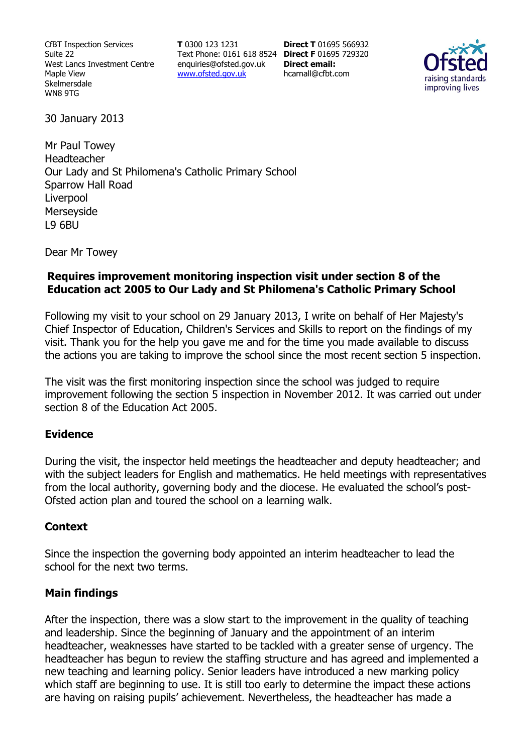CfBT Inspection Services Suite 22 West Lancs Investment Centre Maple View Skelmersdale WN8 9TG

**T** 0300 123 1231 Text Phone: 0161 618 8524 **Direct F** 01695 729320 enquiries@ofsted.gov.uk www.ofsted.gov.uk

**Direct T** 01695 566932 **Direct email:**  hcarnall@cfbt.com



30 January 2013

Mr Paul Towey Headteacher Our Lady and St Philomena's Catholic Primary School Sparrow Hall Road Liverpool Merseyside L9 6BU

Dear Mr Towey

# **Requires improvement monitoring inspection visit under section 8 of the Education act 2005 to Our Lady and St Philomena's Catholic Primary School**

Following my visit to your school on 29 January 2013, I write on behalf of Her Majesty's Chief Inspector of Education, Children's Services and Skills to report on the findings of my visit. Thank you for the help you gave me and for the time you made available to discuss the actions you are taking to improve the school since the most recent section 5 inspection.

The visit was the first monitoring inspection since the school was judged to require improvement following the section 5 inspection in November 2012. It was carried out under section 8 of the Education Act 2005.

## **Evidence**

During the visit, the inspector held meetings the headteacher and deputy headteacher; and with the subject leaders for English and mathematics. He held meetings with representatives from the local authority, governing body and the diocese. He evaluated the school's post-Ofsted action plan and toured the school on a learning walk.

#### **Context**

Since the inspection the governing body appointed an interim headteacher to lead the school for the next two terms.

## **Main findings**

After the inspection, there was a slow start to the improvement in the quality of teaching and leadership. Since the beginning of January and the appointment of an interim headteacher, weaknesses have started to be tackled with a greater sense of urgency. The headteacher has begun to review the staffing structure and has agreed and implemented a new teaching and learning policy. Senior leaders have introduced a new marking policy which staff are beginning to use. It is still too early to determine the impact these actions are having on raising pupils' achievement. Nevertheless, the headteacher has made a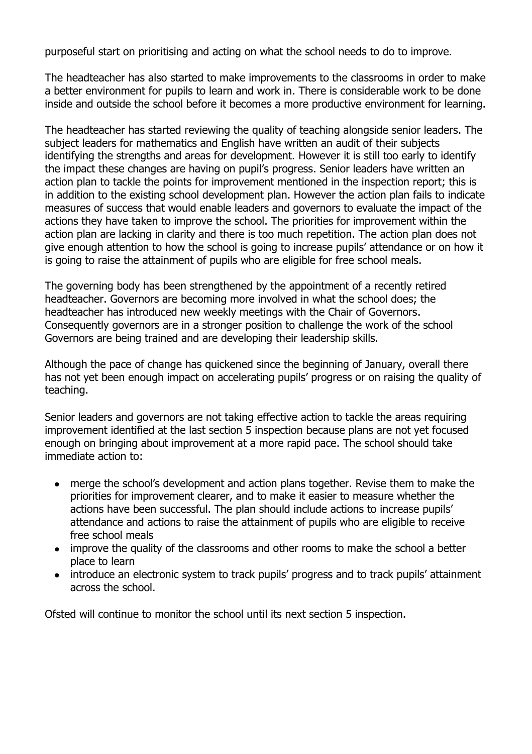purposeful start on prioritising and acting on what the school needs to do to improve.

The headteacher has also started to make improvements to the classrooms in order to make a better environment for pupils to learn and work in. There is considerable work to be done inside and outside the school before it becomes a more productive environment for learning.

The headteacher has started reviewing the quality of teaching alongside senior leaders. The subject leaders for mathematics and English have written an audit of their subjects identifying the strengths and areas for development. However it is still too early to identify the impact these changes are having on pupil's progress. Senior leaders have written an action plan to tackle the points for improvement mentioned in the inspection report; this is in addition to the existing school development plan. However the action plan fails to indicate measures of success that would enable leaders and governors to evaluate the impact of the actions they have taken to improve the school. The priorities for improvement within the action plan are lacking in clarity and there is too much repetition. The action plan does not give enough attention to how the school is going to increase pupils' attendance or on how it is going to raise the attainment of pupils who are eligible for free school meals.

The governing body has been strengthened by the appointment of a recently retired headteacher. Governors are becoming more involved in what the school does; the headteacher has introduced new weekly meetings with the Chair of Governors. Consequently governors are in a stronger position to challenge the work of the school Governors are being trained and are developing their leadership skills.

Although the pace of change has quickened since the beginning of January, overall there has not yet been enough impact on accelerating pupils' progress or on raising the quality of teaching.

Senior leaders and governors are not taking effective action to tackle the areas requiring improvement identified at the last section 5 inspection because plans are not yet focused enough on bringing about improvement at a more rapid pace. The school should take immediate action to:

- merge the school's development and action plans together. Revise them to make the priorities for improvement clearer, and to make it easier to measure whether the actions have been successful. The plan should include actions to increase pupils' attendance and actions to raise the attainment of pupils who are eligible to receive free school meals
- improve the quality of the classrooms and other rooms to make the school a better  $\bullet$ place to learn
- introduce an electronic system to track pupils' progress and to track pupils' attainment across the school.

Ofsted will continue to monitor the school until its next section 5 inspection.